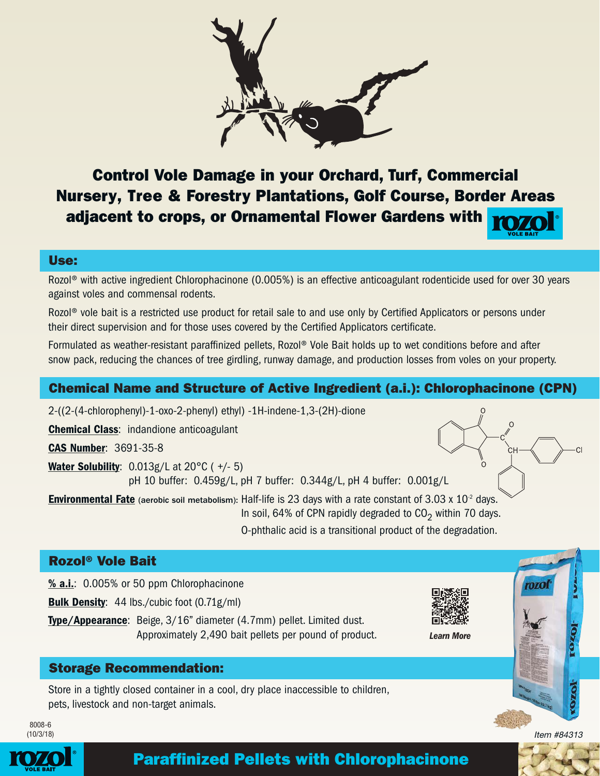

Control Vole Damage in your Orchard, Turf, Commercial Nursery, Tree & Forestry Plantations, Golf Course, Border Areas adjacent to crops, or Ornamental Flower Gardens with

## Use:

Rozol® with active ingredient Chlorophacinone (0.005%) is an effective anticoagulant rodenticide used for over 30 years against voles and commensal rodents.

Rozol<sup>®</sup> vole bait is a restricted use product for retail sale to and use only by Certified Applicators or persons under their direct supervision and for those uses covered by the Certified Applicators certificate.

Formulated as weather-resistant paraffinized pellets, Rozol® Vole Bait holds up to wet conditions before and after snow pack, reducing the chances of tree girdling, runway damage, and production losses from voles on your property.

## Chemical Name and Structure of Active Ingredient (a.i.): Chlorophacinone (CPN)

2-((2-(4-chlorophenyl)-1-oxo-2-phenyl) ethyl) -1H-indene-1,3-(2H)-dione

Chemical Class: indandione anticoagulant

CAS Number: 3691-35-8

**Water Solubility:**  $0.013g/L$  at  $20^{\circ}C$  ( $+/-5$ ) pH 10 buffer: 0.459g/L, pH 7 buffer: 0.344g/L, pH 4 buffer: 0.001g/L

**Environmental Fate** (aerobic soil metabolism): Half-life is 23 days with a rate constant of  $3.03 \times 10^{2}$  days. In soil, 64% of CPN rapidly degraded to  $CO<sub>2</sub>$  within 70 days.

O-phthalic acid is a transitional product of the degradation.

## Rozol® Vole Bait

% a.i.: 0.005% or 50 ppm Chlorophacinone

**Bulk Density:** 44 lbs./cubic foot (0.71g/ml)

Type/Appearance: Beige, 3/16" diameter (4.7mm) pellet. Limited dust. Approximately 2,490 bait pellets per pound of product.



*Learn More*

## Storage Recommendation:

Store in a tightly closed container in a cool, dry place inaccessible to children, pets, livestock and non-target animals.

8008-6 (10/3/18)



# Paraffinized Pellets with Chlorophacinone

Item #84313